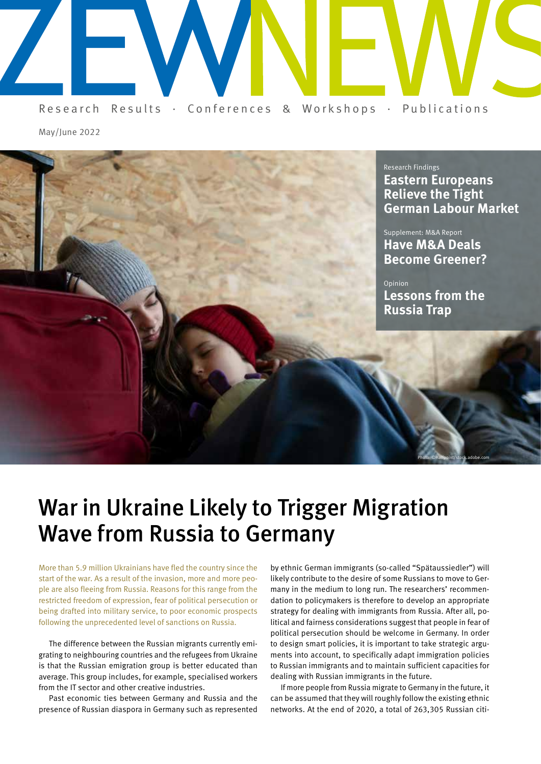

May/June 2022



# War in Ukraine Likely to Trigger Migration Wave from Russia to Germany

More than 5.9 million Ukrainians have fled the country since the start of the war. As a result of the invasion, more and more people are also fleeing from Russia. Reasons for this range from the restricted freedom of expression, fear of political persecution or being drafted into military service, to poor economic prospects following the unprecedented level of sanctions on Russia.

The difference between the Russian migrants currently emigrating to neighbouring countries and the refugees from Ukraine is that the Russian emigration group is better educated than average. This group includes, for example, specialised workers from the IT sector and other creative industries.

Past economic ties between Germany and Russia and the presence of Russian diaspora in Germany such as represented

by ethnic German immigrants (so-called "Spätaussiedler") will likely contribute to the desire of some Russians to move to Germany in the medium to long run. The researchers' recommendation to policymakers is therefore to develop an appropriate strategy for dealing with immigrants from Russia. After all, political and fairness considerations suggest that people in fear of political persecution should be welcome in Germany. In order to design smart policies, it is important to take strategic arguments into account, to specifically adapt immigration policies to Russian immigrants and to maintain sufficient capacities for dealing with Russian immigrants in the future.

If more people from Russia migrate to Germany in the future, it can be assumed that they will roughly follow the existing ethnic networks. At the end of 2020, a total of 263,305 Russian citi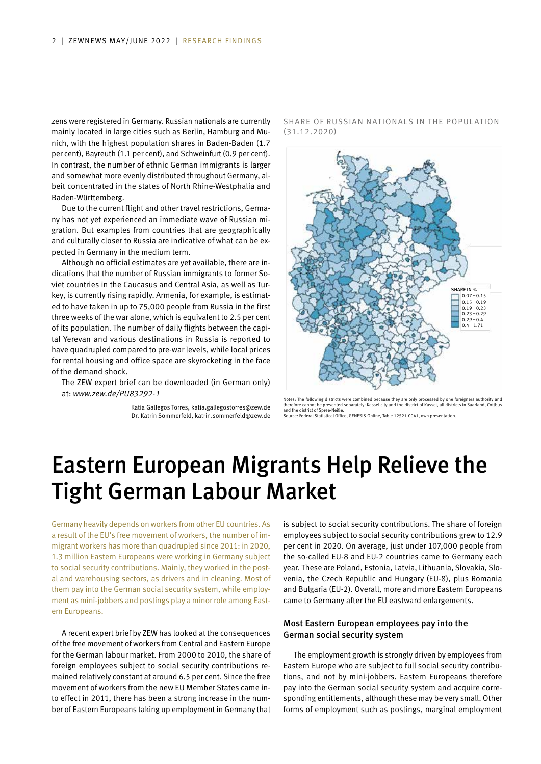zens were registered in Germany. Russian nationals are currently mainly located in large cities such as Berlin, Hamburg and Munich, with the highest population shares in Baden-Baden (1.7 per cent), Bayreuth (1.1 per cent), and Schweinfurt (0.9 per cent). In contrast, the number of ethnic German immigrants is larger and somewhat more evenly distributed throughout Germany, albeit concentrated in the states of North Rhine-Westphalia and Baden-Württemberg.

Due to the current flight and other travel restrictions, Germany has not yet experienced an immediate wave of Russian migration. But examples from countries that are geographically and culturally closer to Russia are indicative of what can be expected in Germany in the medium term.

Although no official estimates are yet available, there are indications that the number of Russian immigrants to former Soviet countries in the Caucasus and Central Asia, as well as Turkey, is currently rising rapidly. Armenia, for example, is estimated to have taken in up to 75,000 people from Russia in the first three weeks of the war alone, which is equivalent to 2.5 per cent of its population. The number of daily flights between the capital Yerevan and various destinations in Russia is reported to have quadrupled compared to pre-war levels, while local prices for rental housing and office space are skyrocketing in the face of the demand shock.

The ZEW expert brief can be downloaded (in German only) at: *www.zew.de/PU83292-1*

> Katia Gallegos Torres, katia.gallegostorres@zew.de Dr. Katrin Sommerfeld, katrin.sommerfeld@zew.de

SHARE OF RUSSIAN NATIONALS IN THE POPULATION (31.12.2020)



Notes: The following districts were combined because they are only processed by one foreigners authority and<br>therefore cannot be presented separately: Kassel city and the district of Kassel, all districts in Saarland, Cott and the district of Spree-Neiße.

Source: Federal Statistical Office, GENESIS-Online, Table 12521-0041, own presentation.

# Eastern European Migrants Help Relieve the Tight German Labour Market

Germany heavily depends on workers from other EU countries. As a result of the EU's free movement of workers, the number of immigrant workers has more than quadrupled since 2011: in 2020, 1.3 million Eastern Europeans were working in Germany subject to social security contributions. Mainly, they worked in the postal and warehousing sectors, as drivers and in cleaning. Most of them pay into the German social security system, while employment as mini-jobbers and postings play a minor role among Eastern Europeans.

A recent expert brief by ZEW has looked at the consequences of the free movement of workers from Central and Eastern Europe for the German labour market. From 2000 to 2010, the share of foreign employees subject to social security contributions remained relatively constant at around 6.5 per cent. Since the free movement of workers from the new EU Member States came into effect in 2011, there has been a strong increase in the number of Eastern Europeans taking up employment in Germany that

is subject to social security contributions. The share of foreign employees subject to social security contributions grew to 12.9 per cent in 2020. On average, just under 107,000 people from the so-called EU-8 and EU-2 countries came to Germany each year. These are Poland, Estonia, Latvia, Lithuania, Slovakia, Slovenia, the Czech Republic and Hungary (EU-8), plus Romania and Bulgaria (EU-2). Overall, more and more Eastern Europeans came to Germany after the EU eastward enlargements.

### Most Eastern European employees pay into the German social security system

The employment growth is strongly driven by employees from Eastern Europe who are subject to full social security contributions, and not by mini-jobbers. Eastern Europeans therefore pay into the German social security system and acquire corresponding entitlements, although these may be very small. Other forms of employment such as postings, marginal employment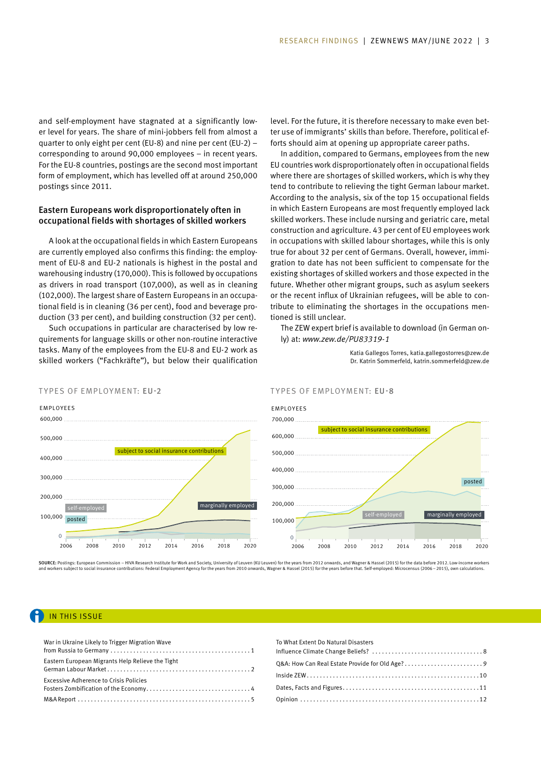and self-employment have stagnated at a significantly lower level for years. The share of mini-jobbers fell from almost a quarter to only eight per cent (EU-8) and nine per cent (EU-2) – corresponding to around 90,000 employees – in recent years. For the EU-8 countries, postings are the second most important form of employment, which has levelled off at around 250,000 postings since 2011.

### Eastern Europeans work disproportionately often in occupational fields with shortages of skilled workers

A look at the occupational fields in which Eastern Europeans are currently employed also confirms this finding: the employment of EU-8 and EU-2 nationals is highest in the postal and warehousing industry (170,000). This is followed by occupations as drivers in road transport (107,000), as well as in cleaning (102,000). The largest share of Eastern Europeans in an occupational field is in cleaning (36 per cent), food and beverage production (33 per cent), and building construction (32 per cent).

Such occupations in particular are characterised by low requirements for language skills or other non-routine interactive tasks. Many of the employees from the EU-8 and EU-2 work as skilled workers ("Fachkräfte"), but below their qualification

level. For the future, it is therefore necessary to make even better use of immigrants' skills than before. Therefore, political efforts should aim at opening up appropriate career paths.

In addition, compared to Germans, employees from the new EU countries work disproportionately often in occupational fields where there are shortages of skilled workers, which is why they tend to contribute to relieving the tight German labour market. According to the analysis, six of the top 15 occupational fields in which Eastern Europeans are most frequently employed lack skilled workers. These include nursing and geriatric care, metal construction and agriculture. 43 per cent of EU employees work in occupations with skilled labour shortages, while this is only true for about 32 per cent of Germans. Overall, however, immigration to date has not been sufficient to compensate for the existing shortages of skilled workers and those expected in the future. Whether other migrant groups, such as asylum seekers or the recent influx of Ukrainian refugees, will be able to contribute to eliminating the shortages in the occupations mentioned is still unclear.

The ZEW expert brief is available to download (in German only) at: *www.zew.de/PU83319-1*

> Katia Gallegos Torres, katia.gallegostorres@zew.de Dr. Katrin Sommerfeld, katrin.sommerfeld@zew.de



#### TYPES OF EMPLOYMENT: EU-2 TYPES OF EMPLOYMENT: EU-8



**SOURCE:** Postings: European Commission – HIVA Research Institute for Work and Society, University of Leuven (KU Leuven) for the years from 2012 onwards, and Wagner & Hassel (2015) for the data before 2012. Low-income work

### IN THIS ISSUE

| War in Ukraine Likely to Trigger Migration Wave  |
|--------------------------------------------------|
| Eastern European Migrants Help Relieve the Tight |
| <b>Excessive Adherence to Crisis Policies</b>    |
|                                                  |

| To What Extent Do Natural Disasters |  |
|-------------------------------------|--|
|                                     |  |
|                                     |  |
|                                     |  |
|                                     |  |
|                                     |  |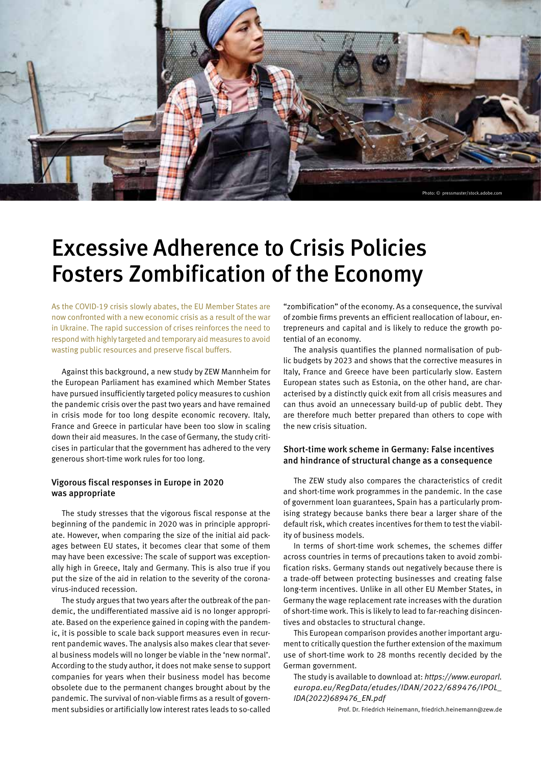

# Excessive Adherence to Crisis Policies Fosters Zombification of the Economy

As the COVID-19 crisis slowly abates, the EU Member States are now confronted with a new economic crisis as a result of the war in Ukraine. The rapid succession of crises reinforces the need to respond with highly targeted and temporary aid measures to avoid wasting public resources and preserve fiscal buffers.

Against this background, a new study by ZEW Mannheim for the European Parliament has examined which Member States have pursued insufficiently targeted policy measures to cushion the pandemic crisis over the past two years and have remained in crisis mode for too long despite economic recovery. Italy, France and Greece in particular have been too slow in scaling down their aid measures. In the case of Germany, the study criticises in particular that the government has adhered to the very generous short-time work rules for too long.

### Vigorous fiscal responses in Europe in 2020 was appropriate

The study stresses that the vigorous fiscal response at the beginning of the pandemic in 2020 was in principle appropriate. However, when comparing the size of the initial aid packages between EU states, it becomes clear that some of them may have been excessive: The scale of support was exceptionally high in Greece, Italy and Germany. This is also true if you put the size of the aid in relation to the severity of the coronavirus-induced recession.

The study argues that two years after the outbreak of the pandemic, the undifferentiated massive aid is no longer appropriate. Based on the experience gained in coping with the pandemic, it is possible to scale back support measures even in recurrent pandemic waves. The analysis also makes clear that several business models will no longer be viable in the 'new normal'. According to the study author, it does not make sense to support companies for years when their business model has become obsolete due to the permanent changes brought about by the pandemic. The survival of non-viable firms as a result of government subsidies or artificially low interest rates leads to so-called

"zombification" of the economy. As a consequence, the survival of zombie firms prevents an efficient reallocation of labour, entrepreneurs and capital and is likely to reduce the growth potential of an economy.

The analysis quantifies the planned normalisation of public budgets by 2023 and shows that the corrective measures in Italy, France and Greece have been particularly slow. Eastern European states such as Estonia, on the other hand, are characterised by a distinctly quick exit from all crisis measures and can thus avoid an unnecessary build-up of public debt. They are therefore much better prepared than others to cope with the new crisis situation.

### Short-time work scheme in Germany: False incentives and hindrance of structural change as a consequence

The ZEW study also compares the characteristics of credit and short-time work programmes in the pandemic. In the case of government loan guarantees, Spain has a particularly promising strategy because banks there bear a larger share of the default risk, which creates incentives for them to test the viability of business models.

In terms of short-time work schemes, the schemes differ across countries in terms of precautions taken to avoid zombification risks. Germany stands out negatively because there is a trade-off between protecting businesses and creating false long-term incentives. Unlike in all other EU Member States, in Germany the wage replacement rate increases with the duration of short-time work. This is likely to lead to far-reaching disincentives and obstacles to structural change.

This European comparison provides another important argument to critically question the further extension of the maximum use of short-time work to 28 months recently decided by the German government.

The study is available to download at: *https://www.europarl. europa.eu/RegData/etudes/IDAN/2022/689476/IPOL\_ IDA(2022)689476\_EN.pdf* 

Prof. Dr. Friedrich Heinemann, friedrich.heinemann@zew.de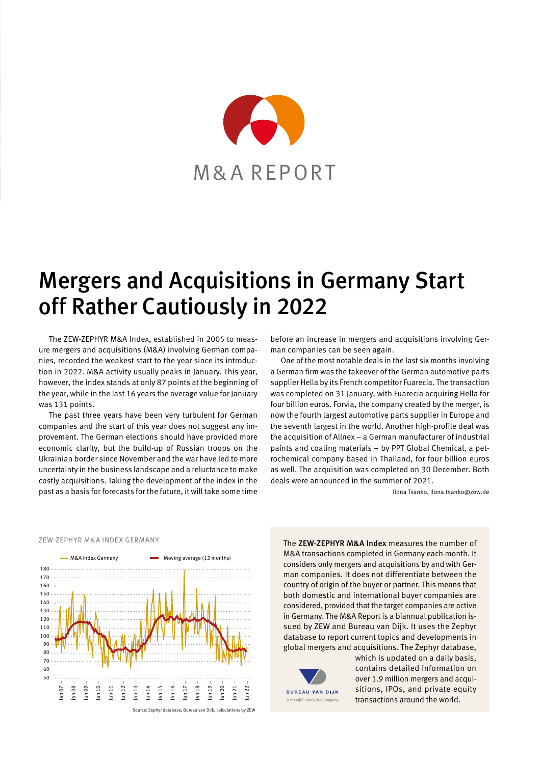

# Mergers and Acquisitions in Germany Start off Rather Cautiously in 2022

The ZEW-ZEPHYR M&A Index, established in 2005 to measure mergers and acquisitions (M&A) involving German companies, recorded the weakest start to the year since its introduction in 2022. M&A activity usually peaks in January. This year, however, the index stands at only 87 points at the beginning of the year, while in the last 16 years the average value for January was 131 points.

The past three years have been very turbulent for German companies and the start of this year does not suggest any improvement. The German elections should have provided more economic clarity, but the build-up of Russian troops on the Ukrainian border since November and the war have led to more uncertainty in the business landscape and a reluctance to make costly acquisitions. Taking the development of the index in the past as a basis for forecasts for the future, it will take some time

before an increase in mergers and acquisitions involving German companies can be seen again.

One of the most notable deals in the last six months involving a German firm was the takeover of the German automotive parts supplier Hella by its French competitor Fuarecia. The transaction was completed on 31 January, with Fuarecia acquiring Hella for four billion euros. Forvia, the company created by the merger, is now the fourth largest automotive parts supplier in Europe and the seventh largest in the world. Another high-profile deal was the acquisition of Allnex – a German manufacturer of industrial paints and coating materials – by PPT Global Chemical, a petrochemical company based in Thailand, for four billion euros as well. The acquisition was completed on 30 December. Both deals were announced in the summer of 2021.

Ilona Tsanko, Ilona.tsanko@zew.de



ZEW-ZEPHYR M&A INDEX GERMANY

The ZEW-ZEPHYR M&A Index measures the number of M&A transactions completed in Germany each month. It considers only mergers and acquisitions by and with German companies. It does not differentiate between the country of origin of the buyer or partner. This means that both domestic and international buyer companies are considered, provided that the target companies are active in Germany. The M&A Report is a biannual publication issued by ZEW and Bureau van Dijk. It uses the Zephyr database to report current topics and developments in global mergers and acquisitions. The Zephyr database,



which is updated on a daily basis, contains detailed information on over 1.9 million mergers and acquisitions, IPOs, and private equity transactions around the world.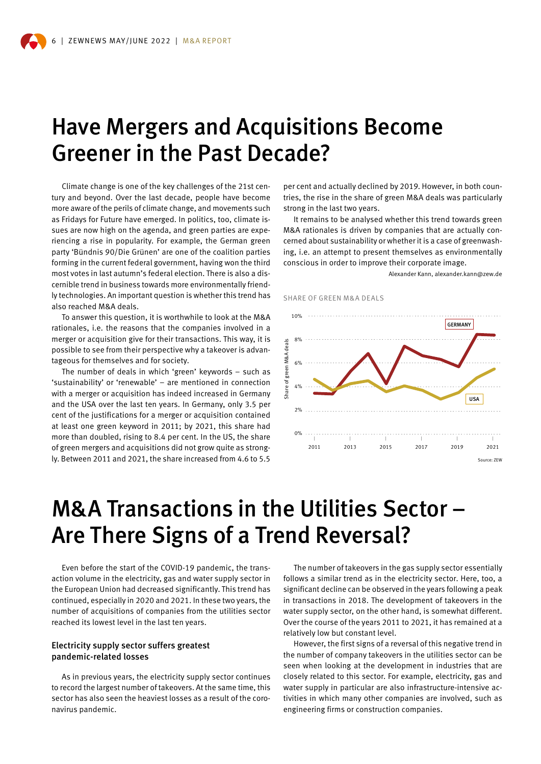# Have Mergers and Acquisitions Become Greener in the Past Decade?

Climate change is one of the key challenges of the 21st century and beyond. Over the last decade, people have become more aware of the perils of climate change, and movements such as Fridays for Future have emerged. In politics, too, climate issues are now high on the agenda, and green parties are experiencing a rise in popularity. For example, the German green party 'Bündnis 90/Die Grünen' are one of the coalition parties forming in the current federal government, having won the third most votes in last autumn's federal election. There is also a discernible trend in business towards more environmentally friendly technologies. An important question is whether this trend has also reached M&A deals.

To answer this question, it is worthwhile to look at the M&A rationales, i.e. the reasons that the companies involved in a merger or acquisition give for their transactions. This way, it is possible to see from their perspective why a takeover is advantageous for themselves and for society.

The number of deals in which 'green' keywords – such as 'sustainability' or 'renewable' – are mentioned in connection with a merger or acquisition has indeed increased in Germany and the USA over the last ten years. In Germany, only 3.5 per cent of the justifications for a merger or acquisition contained at least one green keyword in 2011; by 2021, this share had more than doubled, rising to 8.4 per cent. In the US, the share of green mergers and acquisitions did not grow quite as strongly. Between 2011 and 2021, the share increased from 4.6 to 5.5 per cent and actually declined by 2019. However, in both countries, the rise in the share of green M&A deals was particularly strong in the last two years.

It remains to be analysed whether this trend towards green M&A rationales is driven by companies that are actually concerned about sustainability or whether it is a case of greenwashing, i.e. an attempt to present themselves as environmentally conscious in order to improve their corporate image.

Alexander Kann, alexander.kann@zew.de





# M&A Transactions in the Utilities Sector – Are There Signs of a Trend Reversal?

Even before the start of the COVID-19 pandemic, the transaction volume in the electricity, gas and water supply sector in the European Union had decreased significantly. This trend has continued, especially in 2020 and 2021. In these two years, the number of acquisitions of companies from the utilities sector reached its lowest level in the last ten years.

### Electricity supply sector suffers greatest pandemic-related losses

As in previous years, the electricity supply sector continues to record the largest number of takeovers. At the same time, this sector has also seen the heaviest losses as a result of the coronavirus pandemic.

The number of takeovers in the gas supply sector essentially follows a similar trend as in the electricity sector. Here, too, a significant decline can be observed in the years following a peak in transactions in 2018. The development of takeovers in the water supply sector, on the other hand, is somewhat different. Over the course of the years 2011 to 2021, it has remained at a relatively low but constant level.

However, the first signs of a reversal of this negative trend in the number of company takeovers in the utilities sector can be seen when looking at the development in industries that are closely related to this sector. For example, electricity, gas and water supply in particular are also infrastructure-intensive activities in which many other companies are involved, such as engineering firms or construction companies.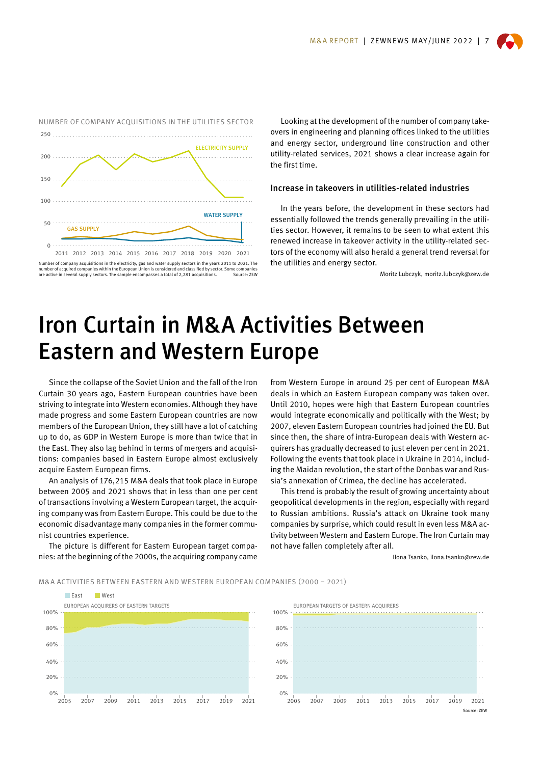

Number of company acquisitions in the electricity, gas and water supply sectors in the years 2011 to 2021. The number of acquired companies within the European Union is considered and classified by sector. Some companies are active in several supply sectors. The sample encompasses a total of 2,281 acquisitions. Source: ZEW

Looking at the development of the number of company takeovers in engineering and planning offices linked to the utilities and energy sector, underground line construction and other utility-related services, 2021 shows a clear increase again for the first time.

#### Increase in takeovers in utilities-related industries

In the years before, the development in these sectors had essentially followed the trends generally prevailing in the utilities sector. However, it remains to be seen to what extent this renewed increase in takeover activity in the utility-related sectors of the economy will also herald a general trend reversal for the utilities and energy sector.

Moritz Lubczyk, moritz.lubczyk@zew.de

# Iron Curtain in M&A Activities Between Eastern and Western Europe

Since the collapse of the Soviet Union and the fall of the Iron Curtain 30 years ago, Eastern European countries have been striving to integrate into Western economies. Although they have made progress and some Eastern European countries are now members of the European Union, they still have a lot of catching up to do, as GDP in Western Europe is more than twice that in the East. They also lag behind in terms of mergers and acquisitions: companies based in Eastern Europe almost exclusively acquire Eastern European firms.

An analysis of 176,215 M&A deals that took place in Europe between 2005 and 2021 shows that in less than one per cent of transactions involving a Western European target, the acquiring company was from Eastern Europe. This could be due to the economic disadvantage many companies in the former communist countries experience.

The picture is different for Eastern European target companies: at the beginning of the 2000s, the acquiring company came

from Western Europe in around 25 per cent of European M&A deals in which an Eastern European company was taken over. Until 2010, hopes were high that Eastern European countries would integrate economically and politically with the West; by 2007, eleven Eastern European countries had joined the EU. But since then, the share of intra-European deals with Western acquirers has gradually decreased to just eleven per cent in 2021. Following the events that took place in Ukraine in 2014, including the Maidan revolution, the start of the Donbas war and Russia's annexation of Crimea, the decline has accelerated.

This trend is probably the result of growing uncertainty about geopolitical developments in the region, especially with regard to Russian ambitions. Russia's attack on Ukraine took many companies by surprise, which could result in even less M&A activity between Western and Eastern Europe. The Iron Curtain may not have fallen completely after all.

Ilona Tsanko, ilona.tsanko@zew.de

#### M&A ACTIVITIES BETWEEN EASTERN AND WESTERN EUROPEAN COMPANIES (2000 – 2021)



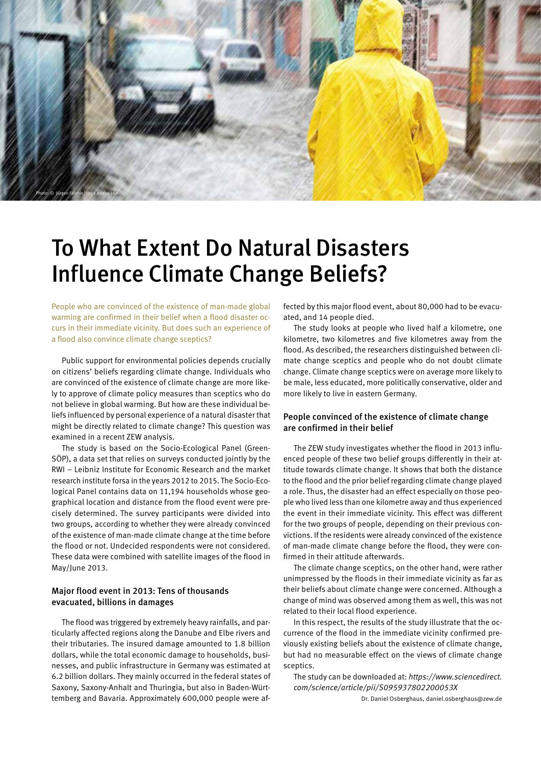

# To What Extent Do Natural Disasters Influence Climate Change Beliefs?

People who are convinced of the existence of man-made global warming are confirmed in their belief when a flood disaster occurs in their immediate vicinity. But does such an experience of a flood also convince climate change sceptics?

Public support for environmental policies depends crucially on citizens' beliefs regarding climate change. Individuals who are convinced of the existence of climate change are more likely to approve of climate policy measures than sceptics who do not believe in global warming. But how are these individual beliefs influenced by personal experience of a natural disaster that might be directly related to climate change? This question was examined in a recent ZEW analysis.

The study is based on the Socio-Ecological Panel (Green-SÖP), a data set that relies on surveys conducted jointly by the RWI – Leibniz Institute for Economic Research and the market research institute forsa in the years 2012 to 2015. The Socio-Ecological Panel contains data on 11,194 households whose geographical location and distance from the flood event were precisely determined. The survey participants were divided into two groups, according to whether they were already convinced of the existence of man-made climate change at the time before the flood or not. Undecided respondents were not considered. These data were combined with satellite images of the flood in May/June 2013.

### Major flood event in 2013: Tens of thousands evacuated, billions in damages

The flood was triggered by extremely heavy rainfalls, and particularly affected regions along the Danube and Elbe rivers and their tributaries. The insured damage amounted to 1.8 billion dollars, while the total economic damage to households, businesses, and public infrastructure in Germany was estimated at 6.2 billion dollars. They mainly occurred in the federal states of Saxony, Saxony-Anhalt and Thuringia, but also in Baden-Württemberg and Bavaria. Approximately 600,000 people were affected by this major flood event, about 80,000 had to be evacuated, and 14 people died.

The study looks at people who lived half a kilometre, one kilometre, two kilometres and five kilometres away from the flood. As described, the researchers distinguished between climate change sceptics and people who do not doubt climate change. Climate change sceptics were on average more likely to be male, less educated, more politically conservative, older and more likely to live in eastern Germany.

### People convinced of the existence of climate change are confirmed in their belief

The ZEW study investigates whether the flood in 2013 influenced people of these two belief groups differently in their attitude towards climate change. It shows that both the distance to the flood and the prior belief regarding climate change played a role. Thus, the disaster had an effect especially on those people who lived less than one kilometre away and thus experienced the event in their immediate vicinity. This effect was different for the two groups of people, depending on their previous convictions. If the residents were already convinced of the existence of man-made climate change before the flood, they were confirmed in their attitude afterwards.

The climate change sceptics, on the other hand, were rather unimpressed by the floods in their immediate vicinity as far as their beliefs about climate change were concerned. Although a change of mind was observed among them as well, this was not related to their local flood experience.

In this respect, the results of the study illustrate that the occurrence of the flood in the immediate vicinity confirmed previously existing beliefs about the existence of climate change, but had no measurable effect on the views of climate change sceptics.

The study can be downloaded at: *https://www.sciencedirect. com/science/article/pii/S095937802200053X* 

Dr. Daniel Osberghaus, daniel.osberghaus@zew.de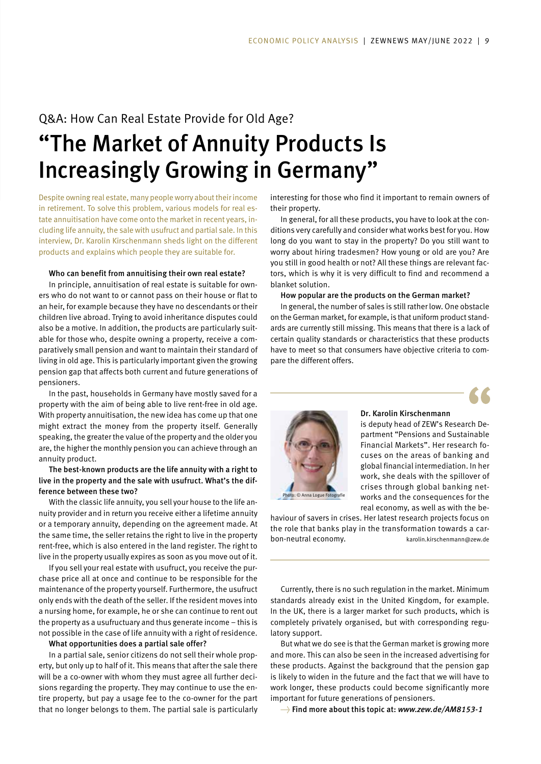# Q&A: How Can Real Estate Provide for Old Age? "The Market of Annuity Products Is Increasingly Growing in Germany"

Despite owning real estate, many people worry about their income in retirement. To solve this problem, various models for real estate annuitisation have come onto the market in recent years, including life annuity, the sale with usufruct and partial sale. In this interview, Dr. Karolin Kirschenmann sheds light on the different products and explains which people they are suitable for.

#### Who can benefit from annuitising their own real estate?

In principle, annuitisation of real estate is suitable for owners who do not want to or cannot pass on their house or flat to an heir, for example because they have no descendants or their children live abroad. Trying to avoid inheritance disputes could also be a motive. In addition, the products are particularly suitable for those who, despite owning a property, receive a comparatively small pension and want to maintain their standard of living in old age. This is particularly important given the growing pension gap that affects both current and future generations of pensioners.

In the past, households in Germany have mostly saved for a property with the aim of being able to live rent-free in old age. With property annuitisation, the new idea has come up that one might extract the money from the property itself. Generally speaking, the greater the value of the property and the older you are, the higher the monthly pension you can achieve through an annuity product.

#### The best-known products are the life annuity with a right to live in the property and the sale with usufruct. What's the difference between these two?

With the classic life annuity, you sell your house to the life annuity provider and in return you receive either a lifetime annuity or a temporary annuity, depending on the agreement made. At the same time, the seller retains the right to live in the property rent-free, which is also entered in the land register. The right to live in the property usually expires as soon as you move out of it.

If you sell your real estate with usufruct, you receive the purchase price all at once and continue to be responsible for the maintenance of the property yourself. Furthermore, the usufruct only ends with the death of the seller. If the resident moves into a nursing home, for example, he or she can continue to rent out the property as a usufructuary and thus generate income – this is not possible in the case of life annuity with a right of residence.

#### What opportunities does a partial sale offer?

In a partial sale, senior citizens do not sell their whole property, but only up to half of it. This means that after the sale there will be a co-owner with whom they must agree all further decisions regarding the property. They may continue to use the entire property, but pay a usage fee to the co-owner for the part that no longer belongs to them. The partial sale is particularly

interesting for those who find it important to remain owners of their property.

In general, for all these products, you have to look at the conditions very carefully and consider what works best for you. How long do you want to stay in the property? Do you still want to worry about hiring tradesmen? How young or old are you? Are you still in good health or not? All these things are relevant factors, which is why it is very difficult to find and recommend a blanket solution.

#### How popular are the products on the German market?

In general, the number of sales is still rather low. One obstacle on the German market, for example, is that uniform product standards are currently still missing. This means that there is a lack of certain quality standards or characteristics that these products have to meet so that consumers have objective criteria to compare the different offers.





### Dr. Karolin Kirschenmann

is deputy head of ZEW's Research Department "Pensions and Sustainable Financial Markets". Her research focuses on the areas of banking and global financial intermediation. In her work, she deals with the spillover of crises through global banking networks and the consequences for the real economy, as well as with the be-

Photo: © Anna Logue Fotografie

haviour of savers in crises. Her latest research projects focus on the role that banks play in the transformation towards a carbon-neutral economy. karolin.kirschenmann@zew.de

Currently, there is no such regulation in the market. Minimum standards already exist in the United Kingdom, for example. In the UK, there is a larger market for such products, which is completely privately organised, but with corresponding regulatory support.

But what we do see is that the German market is growing more and more. This can also be seen in the increased advertising for these products. Against the background that the pension gap is likely to widen in the future and the fact that we will have to work longer, these products could become significantly more important for future generations of pensioners.

→ Find more about this topic at: *www.zew.de/AM8153-1*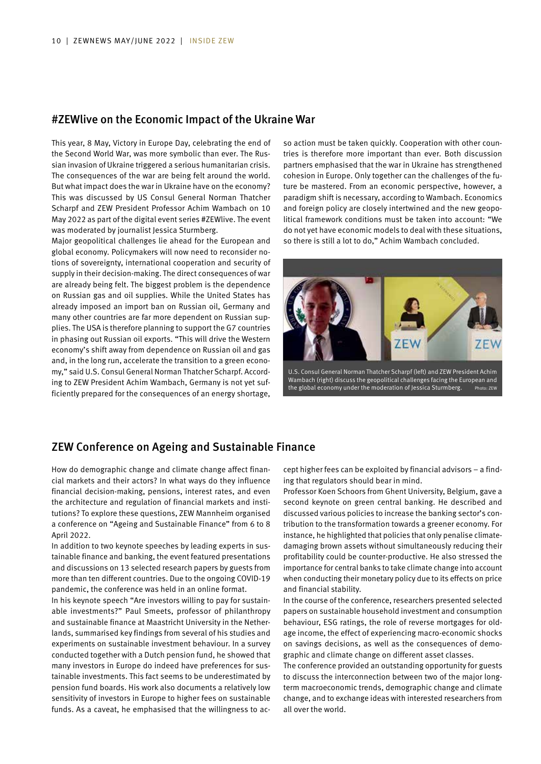### #ZEWlive on the Economic Impact of the Ukraine War

This year, 8 May, Victory in Europe Day, celebrating the end of the Second World War, was more symbolic than ever. The Russian invasion of Ukraine triggered a serious humanitarian crisis. The consequences of the war are being felt around the world. But what impact does the war in Ukraine have on the economy? This was discussed by US Consul General Norman Thatcher Scharpf and ZEW President Professor Achim Wambach on 10 May 2022 as part of the digital event series #ZEWlive. The event was moderated by journalist Jessica Sturmberg.

Major geopolitical challenges lie ahead for the European and global economy. Policymakers will now need to reconsider notions of sovereignty, international cooperation and security of supply in their decision-making. The direct consequences of war are already being felt. The biggest problem is the dependence on Russian gas and oil supplies. While the United States has already imposed an import ban on Russian oil, Germany and many other countries are far more dependent on Russian supplies. The USA is therefore planning to support the G7 countries in phasing out Russian oil exports. "This will drive the Western economy's shift away from dependence on Russian oil and gas and, in the long run, accelerate the transition to a green economy," said U.S. Consul General Norman Thatcher Scharpf. According to ZEW President Achim Wambach, Germany is not yet sufficiently prepared for the consequences of an energy shortage,

so action must be taken quickly. Cooperation with other countries is therefore more important than ever. Both discussion partners emphasised that the war in Ukraine has strengthened cohesion in Europe. Only together can the challenges of the future be mastered. From an economic perspective, however, a paradigm shift is necessary, according to Wambach. Economics and foreign policy are closely intertwined and the new geopolitical framework conditions must be taken into account: "We do not yet have economic models to deal with these situations, so there is still a lot to do," Achim Wambach concluded.



U.S. Consul General Norman Thatcher Scharpf (left) and ZEW President Achim Wambach (right) discuss the geopolitical challenges facing the European and the global economy under the moderation of Jessica Sturmberg. Photo: ZEW

# ZEW Conference on Ageing and Sustainable Finance

How do demographic change and climate change affect financial markets and their actors? In what ways do they influence financial decision-making, pensions, interest rates, and even the architecture and regulation of financial markets and institutions? To explore these questions, ZEW Mannheim organised a conference on "Ageing and Sustainable Finance" from 6 to 8 April 2022.

In addition to two keynote speeches by leading experts in sustainable finance and banking, the event featured presentations and discussions on 13 selected research papers by guests from more than ten different countries. Due to the ongoing COVID-19 pandemic, the conference was held in an online format.

In his keynote speech "Are investors willing to pay for sustainable investments?" Paul Smeets, professor of philanthropy and sustainable finance at Maastricht University in the Netherlands, summarised key findings from several of his studies and experiments on sustainable investment behaviour. In a survey conducted together with a Dutch pension fund, he showed that many investors in Europe do indeed have preferences for sustainable investments. This fact seems to be underestimated by pension fund boards. His work also documents a relatively low sensitivity of investors in Europe to higher fees on sustainable funds. As a caveat, he emphasised that the willingness to accept higher fees can be exploited by financial advisors – a finding that regulators should bear in mind.

Professor Koen Schoors from Ghent University, Belgium, gave a second keynote on green central banking. He described and discussed various policies to increase the banking sector's contribution to the transformation towards a greener economy. For instance, he highlighted that policies that only penalise climatedamaging brown assets without simultaneously reducing their profitability could be counter-productive. He also stressed the importance for central banks to take climate change into account when conducting their monetary policy due to its effects on price and financial stability.

In the course of the conference, researchers presented selected papers on sustainable household investment and consumption behaviour, ESG ratings, the role of reverse mortgages for oldage income, the effect of experiencing macro-economic shocks on savings decisions, as well as the consequences of demographic and climate change on different asset classes.

The conference provided an outstanding opportunity for guests to discuss the interconnection between two of the major longterm macroeconomic trends, demographic change and climate change, and to exchange ideas with interested researchers from all over the world.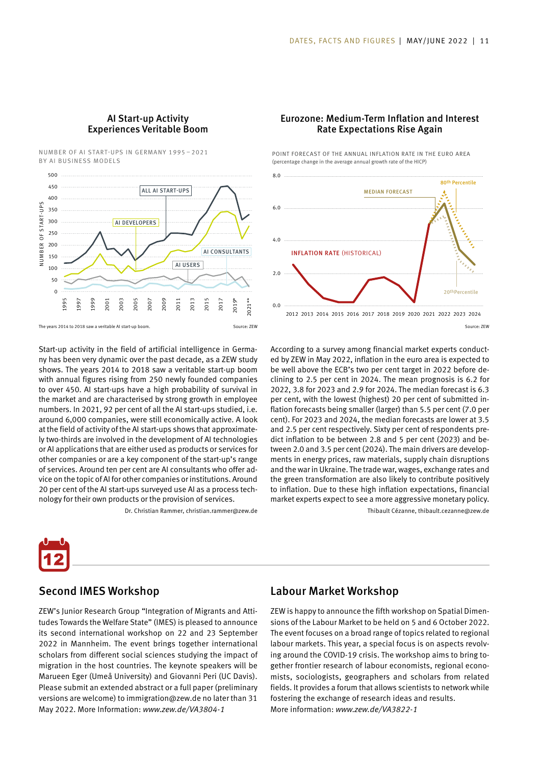### AI Start-up Activity Experiences Veritable Boom

NUMBER OF AI START-UPS IN GERMANY 1995 – 2021 BY AI BUSINESS MODELS



The years 2014 to 2018 saw a veritable AI start-up boom. Source: ZEW

Start-up activity in the field of artificial intelligence in Germany has been very dynamic over the past decade, as a ZEW study shows. The years 2014 to 2018 saw a veritable start-up boom with annual figures rising from 250 newly founded companies to over 450. AI start-ups have a high probability of survival in the market and are characterised by strong growth in employee numbers. In 2021, 92 per cent of all the AI start-ups studied, i.e. around 6,000 companies, were still economically active. A look at the field of activity of the AI start-ups shows that approximately two-thirds are involved in the development of AI technologies or AI applications that are either used as products or services for other companies or are a key component of the start-up's range of services. Around ten per cent are AI consultants who offer advice on the topic of AI for other companies or institutions. Around 20 per cent of the AI start-ups surveyed use AI as a process technology for their own products or the provision of services.

Dr. Christian Rammer, christian.rammer@zew.de

#### Eurozone: Medium-Term Inflation and Interest Rate Expectations Rise Again

POINT FORECAST OF THE ANNUAL INFLATION RATE IN THE EURO AREA (percentage change in the average annual growth rate of the HICP)



Source: ZEW

According to a survey among financial market experts conducted by ZEW in May 2022, inflation in the euro area is expected to be well above the ECB's two per cent target in 2022 before declining to 2.5 per cent in 2024. The mean prognosis is 6.2 for 2022, 3.8 for 2023 and 2.9 for 2024. The median forecast is 6.3 per cent, with the lowest (highest) 20 per cent of submitted inflation forecasts being smaller (larger) than 5.5 per cent (7.0 per cent). For 2023 and 2024, the median forecasts are lower at 3.5 and 2.5 per cent respectively. Sixty per cent of respondents predict inflation to be between 2.8 and 5 per cent (2023) and between 2.0 and 3.5 per cent (2024). The main drivers are developments in energy prices, raw materials, supply chain disruptions and the war in Ukraine. The trade war, wages, exchange rates and the green transformation are also likely to contribute positively to inflation. Due to these high inflation expectations, financial market experts expect to see a more aggressive monetary policy. Thibault Cézanne, thibault.cezanne@zew.de



Second IMES Workshop

# Labour Market Workshop

ZEW's Junior Research Group "Integration of Migrants and Attitudes Towards the Welfare State" (IMES) is pleased to announce its second international workshop on 22 and 23 September 2022 in Mannheim. The event brings together international scholars from different social sciences studying the impact of migration in the host countries. The keynote speakers will be Marueen Eger (Umeå University) and Giovanni Peri (UC Davis). Please submit an extended abstract or a full paper (preliminary versions are welcome) to immigration@zew.de no later than 31 May 2022. More Information: *www.zew.de/VA3804-1* 

ZEW is happy to announce the fifth workshop on Spatial Dimensions of the Labour Market to be held on 5 and 6 October 2022. The event focuses on a broad range of topics related to regional labour markets. This year, a special focus is on aspects revolving around the COVID-19 crisis. The workshop aims to bring together frontier research of labour economists, regional economists, sociologists, geographers and scholars from related fields. It provides a forum that allows scientists to network while fostering the exchange of research ideas and results. More information: *www.zew.de/VA3822-1*